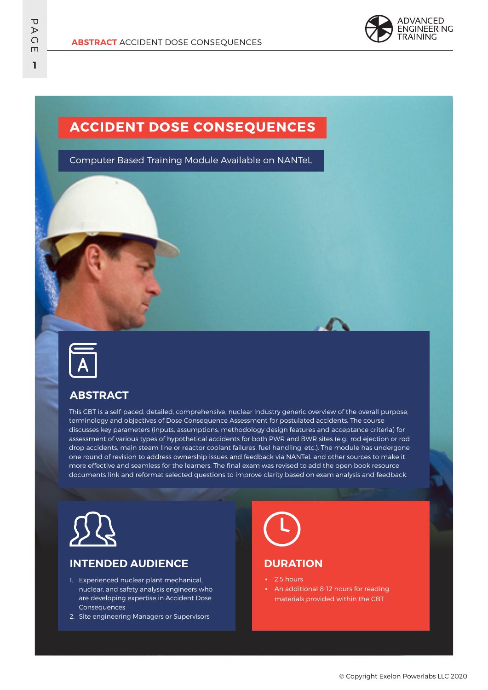

## **ACCIDENT DOSE CONSEQUENCES**

Computer Based Training Module Available on NANTeL



### **ABSTRACT**

This CBT is a self-paced, detailed, comprehensive, nuclear industry generic overview of the overall purpose, terminology and objectives of Dose Consequence Assessment for postulated accidents. The course discusses key parameters (inputs, assumptions, methodology design features and acceptance criteria) for assessment of various types of hypothetical accidents for both PWR and BWR sites (e.g., rod ejection or rod drop accidents, main steam line or reactor coolant failures, fuel handling, etc.). The module has undergone one round of revision to address ownership issues and feedback via NANTeL and other sources to make it more effective and seamless for the learners. The final exam was revised to add the open book resource documents link and reformat selected questions to improve clarity based on exam analysis and feedback.



### **INTENDED AUDIENCE**

- 1. Experienced nuclear plant mechanical, nuclear, and safety analysis engineers who are developing expertise in Accident Dose **Consequences**
- 2. Site engineering Managers or Supervisors



#### **DURATION**

- 2.5 hours
- An additional 8-12 hours for reading materials provided within the CBT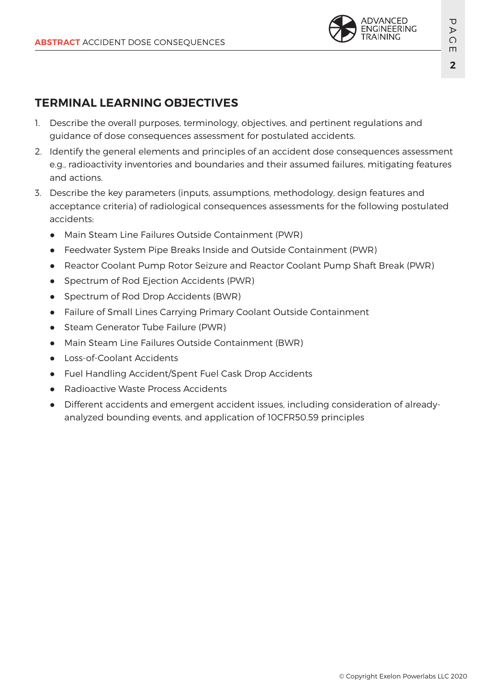

# **TERMINAL LEARNING OBJECTIVES**

- 1. Describe the overall purposes, terminology, objectives, and pertinent regulations and guidance of dose consequences assessment for postulated accidents.
- 2. Identify the general elements and principles of an accident dose consequences assessment e.g., radioactivity inventories and boundaries and their assumed failures, mitigating features and actions.
- 3. Describe the key parameters (inputs, assumptions, methodology, design features and acceptance criteria) of radiological consequences assessments for the following postulated accidents:
	- Main Steam Line Failures Outside Containment (PWR)
	- Feedwater System Pipe Breaks Inside and Outside Containment (PWR)
	- Reactor Coolant Pump Rotor Seizure and Reactor Coolant Pump Shaft Break (PWR)
	- Spectrum of Rod Ejection Accidents (PWR)
	- Spectrum of Rod Drop Accidents (BWR)
	- Failure of Small Lines Carrying Primary Coolant Outside Containment
	- Steam Generator Tube Failure (PWR)
	- Main Steam Line Failures Outside Containment (BWR)
	- Loss-of-Coolant Accidents
	- Fuel Handling Accident/Spent Fuel Cask Drop Accidents
	- Radioactive Waste Process Accidents
	- Different accidents and emergent accident issues, including consideration of alreadyanalyzed bounding events, and application of 10CFR50.59 principles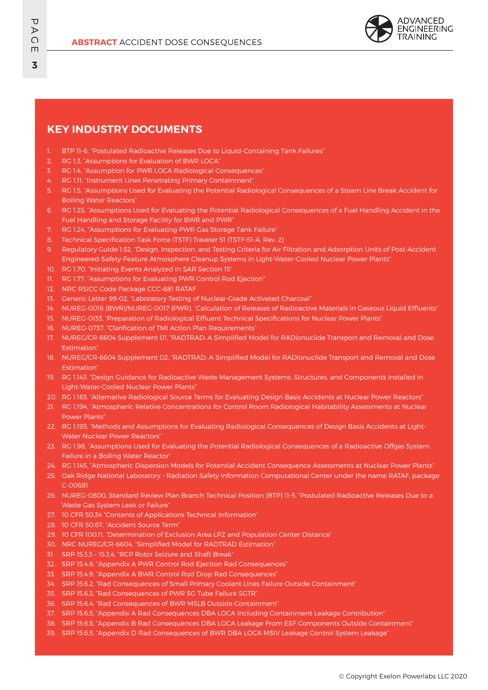

#### **KEY INDUSTRY DOCUMENTS**

- 1. BTP 11-6, "Postulated Radioactive Releases Due to Liquid-Containing Tank Failures"
- 2. RG 1.3, "Assumptions for Evaluation of BWR LOCA"
- 3. RG 1.4, "Assumption for PWR LOCA Radiological Consequences"
- 4. RG 1.11, "Instrument Lines Penetrating Primary Containment"
- 5. RG 1.5, "Assumptions Used for Evaluating the Potential Radiological Consequences of a Steam Line Break Accident for Boiling Water Reactors"
- 6. RG 1.25, "Assumptions Used for Evaluating the Potential Radiological Consequences of a Fuel Handling Accident in the Fuel Handling and Storage Facility for BWR and PWR"
- 7. RG 1.24, "Assumptions for Evaluating PWR Gas Storage Tank Failure"
- 8. Technical Specification Task Force (TSTF) Traveler 51 (TSTF-51-A, Rev. 2)
- 9. Regulatory Guide 1.52, "Design, Inspection, and Testing Criteria for Air Filtration and Adsorption Units of Post-Accident Engineered-Safety-Feature Atmosphere Cleanup Systems in Light-Water-Cooled Nuclear Power Plants"
- 10. RG 1.70, "Initiating Events Analyzed In SAR Section 15"
- 11. RG 1.77, "Assumptions for Evaluating PWR Control Rod Ejection"
- 12. NRC RSICC Code Package CCC-681 RATAF
- 13. Generic Letter 99-02, "Laboratory Testing of Nuclear-Grade Activated Charcoal"
- 14. NUREG-0016 (BWR)/NUREG-0017 (PWR), "Calculation of Releases of Radioactive Materials in Gaseous Liquid Effluents"
- 15. NUREG-0133, "Preparation of Radiological Effluent Technical Specifications for Nuclear Power Plants"
- 16. NUREG-0737, "Clarification of TMI Action Plan Requirements"
- 17. NUREG/CR-6604 Supplement 01, "RADTRAD: A Simplified Model for RADionuclide Transport and Removal and Dose Estimation"
- 18. NUREG/CR-6604 Supplement 02, "RADTRAD: A Simplified Model for RADionuclide Transport and Removal and Dose Estimation"
- 19. RG 1.143, "Design Guidance for Radioactive Waste Management Systems, Structures, and Components Installed in Light-Water-Cooled Nuclear Power Plants"
- 20. RG 1.183, "Alternative Radiological Source Terms for Evaluating Design Basis Accidents at Nuclear Power Reactors"
- 21. RG 1.194, "Atmospheric Relative Concentrations for Control Room Radiological Habitability Assessments at Nuclear Power Plants"
- 22. RG 1.195, "Methods and Assumptions for Evaluating Radiological Consequences of Design Basis Accidents at Light-Water Nuclear Power Reactors"
- 23. RG 1.98, "Assumptions Used for Evaluating the Potential Radiological Consequences of a Radioactive Offgas System Failure in a Boiling Water Reactor"
- 24. RG 1.145, "Atmospheric Dispersion Models for Potential Accident Consequence Assessments at Nuclear Power Plants"
- 25. Oak Ridge National Laboratory Radiation Safety Information Computational Center under the name RATAF, package C-00681
- 26. NUREG-0800, Standard Review Plan Branch Technical Position (BTP) 11-5, "Postulated Radioactive Releases Due to a Waste Gas System Leak or Failure"
- 27. 10 CFR 50.34 "Contents of Applications Technical Information"
- 28. 10 CFR 50.67, "Accident Source Term"
- 29. 10 CFR 100.11, "Determination of Exclusion Area LPZ and Population Center Distance"
- 30. NRC NUREG/CR-6604, "Simplified Model for RADTRAD Estimation"
- 31. SRP 15.3.3 15.3.4, "RCP Rotor Seizure and Shaft Break"
- 32. SRP 15.4.8, "Appendix A PWR Control Rod Ejection Rad Consequences"
- 33. SRP 15.4.9, "Appendix A BWR Control Rod Drop Rad Consequences"
- 34. SRP 15.6.2, "Rad Consequences of Small Primary Coolant Lines Failure Outside Containment"
- 35. SRP 15.6.3, "Rad Consequences of PWR SG Tube Failure SGTR"
- 36. SRP 15.6.4, "Rad Consequences of BWR MSLB Outside Containment"
- 37. SRP 15.6.5, "Appendix A Rad Consequences DBA LOCA Including Containment Leakage Contribution"
- 38. SRP 15.6.5, "Appendix B Rad Consequences DBA LOCA Leakage From ESF Components Outside Containment"
- 39. SRP 15.6.5, "Appendix D Rad Consequences of BWR DBA LOCA MSIV Leakage Control System Leakage"